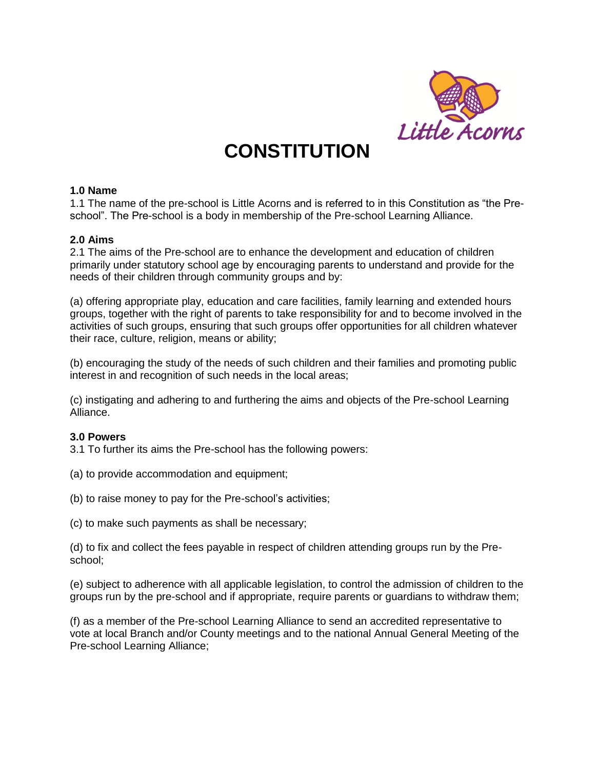

# **CONSTITUTION**

## **1.0 Name**

1.1 The name of the pre-school is Little Acorns and is referred to in this Constitution as "the Preschool". The Pre-school is a body in membership of the Pre-school Learning Alliance.

## **2.0 Aims**

2.1 The aims of the Pre-school are to enhance the development and education of children primarily under statutory school age by encouraging parents to understand and provide for the needs of their children through community groups and by:

(a) offering appropriate play, education and care facilities, family learning and extended hours groups, together with the right of parents to take responsibility for and to become involved in the activities of such groups, ensuring that such groups offer opportunities for all children whatever their race, culture, religion, means or ability;

(b) encouraging the study of the needs of such children and their families and promoting public interest in and recognition of such needs in the local areas;

(c) instigating and adhering to and furthering the aims and objects of the Pre-school Learning Alliance.

## **3.0 Powers**

3.1 To further its aims the Pre-school has the following powers:

- (a) to provide accommodation and equipment;
- (b) to raise money to pay for the Pre-school's activities;
- (c) to make such payments as shall be necessary;

(d) to fix and collect the fees payable in respect of children attending groups run by the Preschool;

(e) subject to adherence with all applicable legislation, to control the admission of children to the groups run by the pre-school and if appropriate, require parents or guardians to withdraw them;

(f) as a member of the Pre-school Learning Alliance to send an accredited representative to vote at local Branch and/or County meetings and to the national Annual General Meeting of the Pre-school Learning Alliance;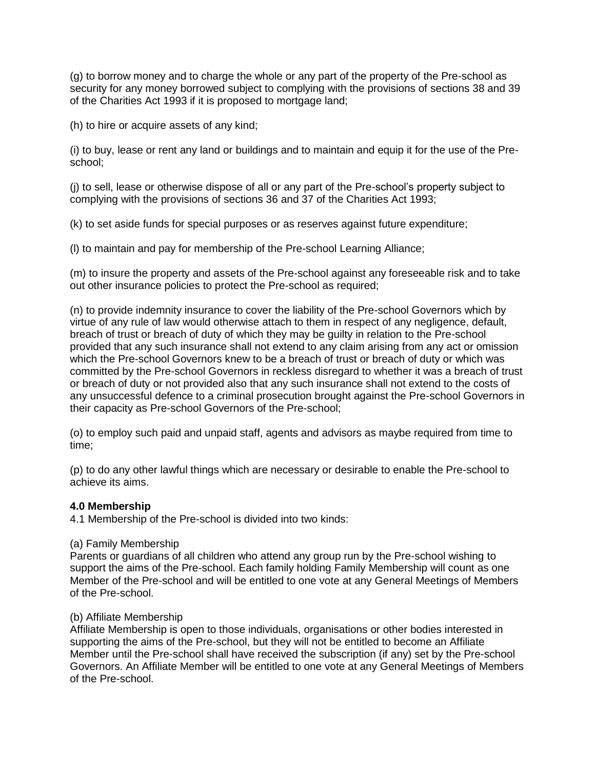(g) to borrow money and to charge the whole or any part of the property of the Pre-school as security for any money borrowed subject to complying with the provisions of sections 38 and 39 of the Charities Act 1993 if it is proposed to mortgage land;

(h) to hire or acquire assets of any kind;

(i) to buy, lease or rent any land or buildings and to maintain and equip it for the use of the Preschool;

(j) to sell, lease or otherwise dispose of all or any part of the Pre-school's property subject to complying with the provisions of sections 36 and 37 of the Charities Act 1993;

(k) to set aside funds for special purposes or as reserves against future expenditure;

(l) to maintain and pay for membership of the Pre-school Learning Alliance;

(m) to insure the property and assets of the Pre-school against any foreseeable risk and to take out other insurance policies to protect the Pre-school as required;

(n) to provide indemnity insurance to cover the liability of the Pre-school Governors which by virtue of any rule of law would otherwise attach to them in respect of any negligence, default, breach of trust or breach of duty of which they may be guilty in relation to the Pre-school provided that any such insurance shall not extend to any claim arising from any act or omission which the Pre-school Governors knew to be a breach of trust or breach of duty or which was committed by the Pre-school Governors in reckless disregard to whether it was a breach of trust or breach of duty or not provided also that any such insurance shall not extend to the costs of any unsuccessful defence to a criminal prosecution brought against the Pre-school Governors in their capacity as Pre-school Governors of the Pre-school;

(o) to employ such paid and unpaid staff, agents and advisors as maybe required from time to time;

(p) to do any other lawful things which are necessary or desirable to enable the Pre-school to achieve its aims.

# **4.0 Membership**

4.1 Membership of the Pre-school is divided into two kinds:

## (a) Family Membership

Parents or guardians of all children who attend any group run by the Pre-school wishing to support the aims of the Pre-school. Each family holding Family Membership will count as one Member of the Pre-school and will be entitled to one vote at any General Meetings of Members of the Pre-school.

## (b) Affiliate Membership

Affiliate Membership is open to those individuals, organisations or other bodies interested in supporting the aims of the Pre-school, but they will not be entitled to become an Affiliate Member until the Pre-school shall have received the subscription (if any) set by the Pre-school Governors. An Affiliate Member will be entitled to one vote at any General Meetings of Members of the Pre-school.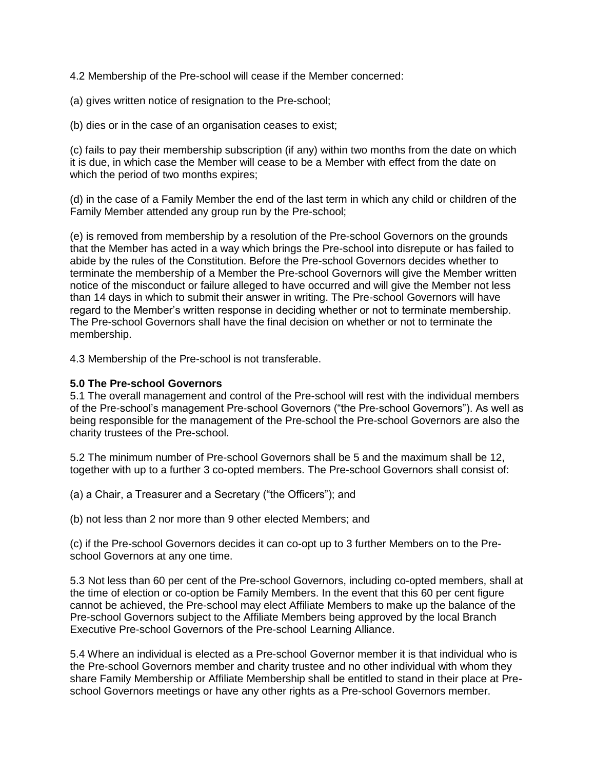4.2 Membership of the Pre-school will cease if the Member concerned:

(a) gives written notice of resignation to the Pre-school;

(b) dies or in the case of an organisation ceases to exist;

(c) fails to pay their membership subscription (if any) within two months from the date on which it is due, in which case the Member will cease to be a Member with effect from the date on which the period of two months expires;

(d) in the case of a Family Member the end of the last term in which any child or children of the Family Member attended any group run by the Pre-school;

(e) is removed from membership by a resolution of the Pre-school Governors on the grounds that the Member has acted in a way which brings the Pre-school into disrepute or has failed to abide by the rules of the Constitution. Before the Pre-school Governors decides whether to terminate the membership of a Member the Pre-school Governors will give the Member written notice of the misconduct or failure alleged to have occurred and will give the Member not less than 14 days in which to submit their answer in writing. The Pre-school Governors will have regard to the Member's written response in deciding whether or not to terminate membership. The Pre-school Governors shall have the final decision on whether or not to terminate the membership.

4.3 Membership of the Pre-school is not transferable.

## **5.0 The Pre-school Governors**

5.1 The overall management and control of the Pre-school will rest with the individual members of the Pre-school's management Pre-school Governors ("the Pre-school Governors"). As well as being responsible for the management of the Pre-school the Pre-school Governors are also the charity trustees of the Pre-school.

5.2 The minimum number of Pre-school Governors shall be 5 and the maximum shall be 12, together with up to a further 3 co-opted members. The Pre-school Governors shall consist of:

(a) a Chair, a Treasurer and a Secretary ("the Officers"); and

(b) not less than 2 nor more than 9 other elected Members; and

(c) if the Pre-school Governors decides it can co-opt up to 3 further Members on to the Preschool Governors at any one time.

5.3 Not less than 60 per cent of the Pre-school Governors, including co-opted members, shall at the time of election or co-option be Family Members. In the event that this 60 per cent figure cannot be achieved, the Pre-school may elect Affiliate Members to make up the balance of the Pre-school Governors subject to the Affiliate Members being approved by the local Branch Executive Pre-school Governors of the Pre-school Learning Alliance.

5.4 Where an individual is elected as a Pre-school Governor member it is that individual who is the Pre-school Governors member and charity trustee and no other individual with whom they share Family Membership or Affiliate Membership shall be entitled to stand in their place at Preschool Governors meetings or have any other rights as a Pre-school Governors member.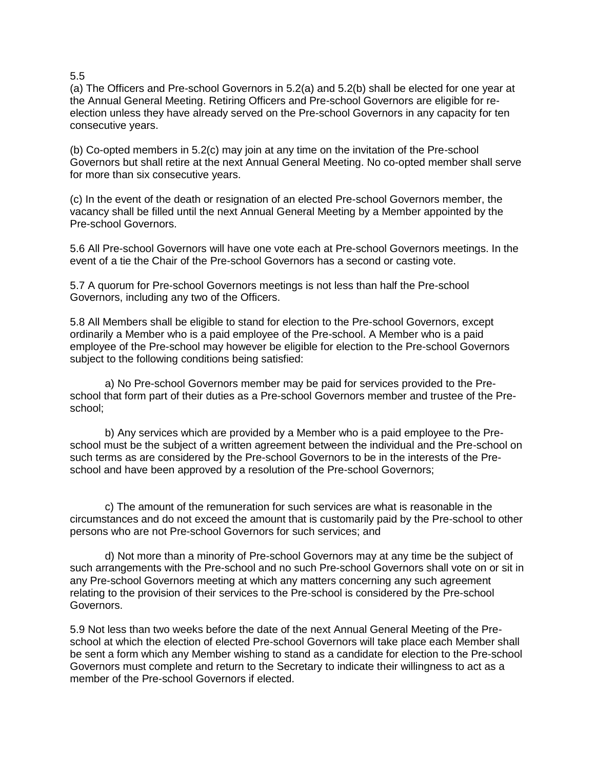#### 5.5

(a) The Officers and Pre-school Governors in 5.2(a) and 5.2(b) shall be elected for one year at the Annual General Meeting. Retiring Officers and Pre-school Governors are eligible for reelection unless they have already served on the Pre-school Governors in any capacity for ten consecutive years.

(b) Co-opted members in 5.2(c) may join at any time on the invitation of the Pre-school Governors but shall retire at the next Annual General Meeting. No co-opted member shall serve for more than six consecutive years.

(c) In the event of the death or resignation of an elected Pre-school Governors member, the vacancy shall be filled until the next Annual General Meeting by a Member appointed by the Pre-school Governors.

5.6 All Pre-school Governors will have one vote each at Pre-school Governors meetings. In the event of a tie the Chair of the Pre-school Governors has a second or casting vote.

5.7 A quorum for Pre-school Governors meetings is not less than half the Pre-school Governors, including any two of the Officers.

5.8 All Members shall be eligible to stand for election to the Pre-school Governors, except ordinarily a Member who is a paid employee of the Pre-school. A Member who is a paid employee of the Pre-school may however be eligible for election to the Pre-school Governors subject to the following conditions being satisfied:

a) No Pre-school Governors member may be paid for services provided to the Preschool that form part of their duties as a Pre-school Governors member and trustee of the Preschool;

b) Any services which are provided by a Member who is a paid employee to the Preschool must be the subject of a written agreement between the individual and the Pre-school on such terms as are considered by the Pre-school Governors to be in the interests of the Preschool and have been approved by a resolution of the Pre-school Governors;

c) The amount of the remuneration for such services are what is reasonable in the circumstances and do not exceed the amount that is customarily paid by the Pre-school to other persons who are not Pre-school Governors for such services; and

d) Not more than a minority of Pre-school Governors may at any time be the subject of such arrangements with the Pre-school and no such Pre-school Governors shall vote on or sit in any Pre-school Governors meeting at which any matters concerning any such agreement relating to the provision of their services to the Pre-school is considered by the Pre-school Governors.

5.9 Not less than two weeks before the date of the next Annual General Meeting of the Preschool at which the election of elected Pre-school Governors will take place each Member shall be sent a form which any Member wishing to stand as a candidate for election to the Pre-school Governors must complete and return to the Secretary to indicate their willingness to act as a member of the Pre-school Governors if elected.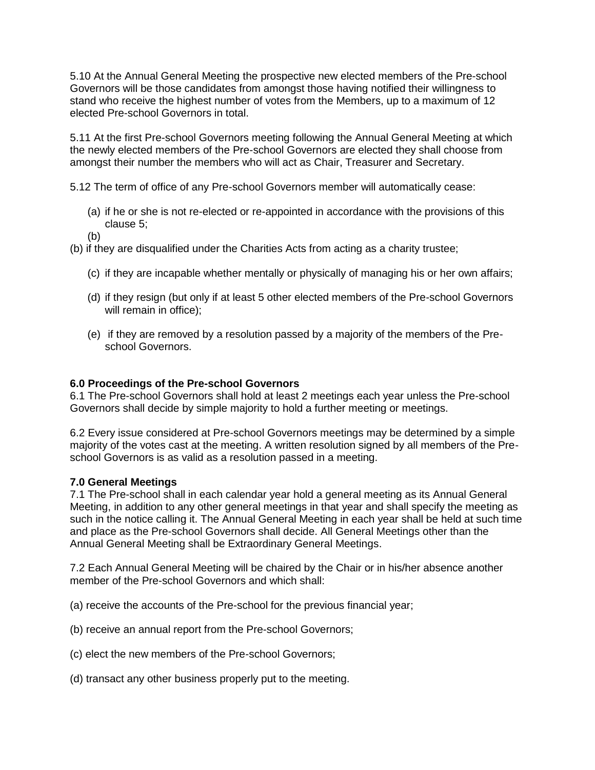5.10 At the Annual General Meeting the prospective new elected members of the Pre-school Governors will be those candidates from amongst those having notified their willingness to stand who receive the highest number of votes from the Members, up to a maximum of 12 elected Pre-school Governors in total.

5.11 At the first Pre-school Governors meeting following the Annual General Meeting at which the newly elected members of the Pre-school Governors are elected they shall choose from amongst their number the members who will act as Chair, Treasurer and Secretary.

5.12 The term of office of any Pre-school Governors member will automatically cease:

- (a) if he or she is not re-elected or re-appointed in accordance with the provisions of this clause 5;
- (b)

(b) if they are disqualified under the Charities Acts from acting as a charity trustee;

- (c) if they are incapable whether mentally or physically of managing his or her own affairs;
- (d) if they resign (but only if at least 5 other elected members of the Pre-school Governors will remain in office);
- (e) if they are removed by a resolution passed by a majority of the members of the Preschool Governors.

## **6.0 Proceedings of the Pre-school Governors**

6.1 The Pre-school Governors shall hold at least 2 meetings each year unless the Pre-school Governors shall decide by simple majority to hold a further meeting or meetings.

6.2 Every issue considered at Pre-school Governors meetings may be determined by a simple majority of the votes cast at the meeting. A written resolution signed by all members of the Preschool Governors is as valid as a resolution passed in a meeting.

## **7.0 General Meetings**

7.1 The Pre-school shall in each calendar year hold a general meeting as its Annual General Meeting, in addition to any other general meetings in that year and shall specify the meeting as such in the notice calling it. The Annual General Meeting in each year shall be held at such time and place as the Pre-school Governors shall decide. All General Meetings other than the Annual General Meeting shall be Extraordinary General Meetings.

7.2 Each Annual General Meeting will be chaired by the Chair or in his/her absence another member of the Pre-school Governors and which shall:

(a) receive the accounts of the Pre-school for the previous financial year;

- (b) receive an annual report from the Pre-school Governors;
- (c) elect the new members of the Pre-school Governors;
- (d) transact any other business properly put to the meeting.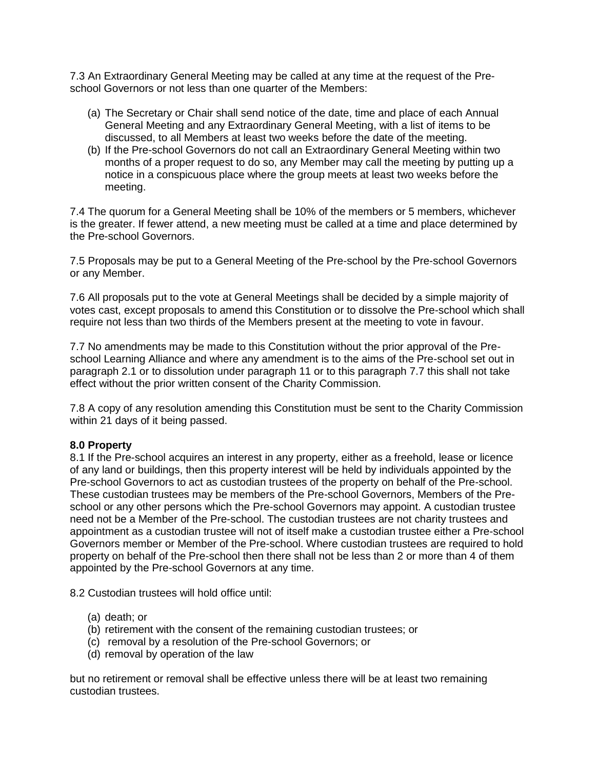7.3 An Extraordinary General Meeting may be called at any time at the request of the Preschool Governors or not less than one quarter of the Members:

- (a) The Secretary or Chair shall send notice of the date, time and place of each Annual General Meeting and any Extraordinary General Meeting, with a list of items to be discussed, to all Members at least two weeks before the date of the meeting.
- (b) If the Pre-school Governors do not call an Extraordinary General Meeting within two months of a proper request to do so, any Member may call the meeting by putting up a notice in a conspicuous place where the group meets at least two weeks before the meeting.

7.4 The quorum for a General Meeting shall be 10% of the members or 5 members, whichever is the greater. If fewer attend, a new meeting must be called at a time and place determined by the Pre-school Governors.

7.5 Proposals may be put to a General Meeting of the Pre-school by the Pre-school Governors or any Member.

7.6 All proposals put to the vote at General Meetings shall be decided by a simple majority of votes cast, except proposals to amend this Constitution or to dissolve the Pre-school which shall require not less than two thirds of the Members present at the meeting to vote in favour.

7.7 No amendments may be made to this Constitution without the prior approval of the Preschool Learning Alliance and where any amendment is to the aims of the Pre-school set out in paragraph 2.1 or to dissolution under paragraph 11 or to this paragraph 7.7 this shall not take effect without the prior written consent of the Charity Commission.

7.8 A copy of any resolution amending this Constitution must be sent to the Charity Commission within 21 days of it being passed.

## **8.0 Property**

8.1 If the Pre-school acquires an interest in any property, either as a freehold, lease or licence of any land or buildings, then this property interest will be held by individuals appointed by the Pre-school Governors to act as custodian trustees of the property on behalf of the Pre-school. These custodian trustees may be members of the Pre-school Governors, Members of the Preschool or any other persons which the Pre-school Governors may appoint. A custodian trustee need not be a Member of the Pre-school. The custodian trustees are not charity trustees and appointment as a custodian trustee will not of itself make a custodian trustee either a Pre-school Governors member or Member of the Pre-school. Where custodian trustees are required to hold property on behalf of the Pre-school then there shall not be less than 2 or more than 4 of them appointed by the Pre-school Governors at any time.

8.2 Custodian trustees will hold office until:

- (a) death; or
- (b) retirement with the consent of the remaining custodian trustees; or
- (c) removal by a resolution of the Pre-school Governors; or
- (d) removal by operation of the law

but no retirement or removal shall be effective unless there will be at least two remaining custodian trustees.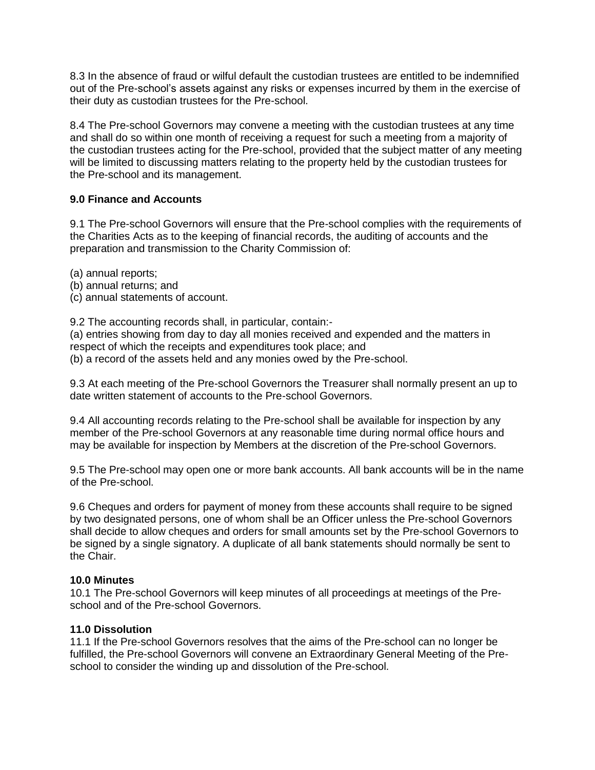8.3 In the absence of fraud or wilful default the custodian trustees are entitled to be indemnified out of the Pre-school's assets against any risks or expenses incurred by them in the exercise of their duty as custodian trustees for the Pre-school.

8.4 The Pre-school Governors may convene a meeting with the custodian trustees at any time and shall do so within one month of receiving a request for such a meeting from a majority of the custodian trustees acting for the Pre-school, provided that the subject matter of any meeting will be limited to discussing matters relating to the property held by the custodian trustees for the Pre-school and its management.

# **9.0 Finance and Accounts**

9.1 The Pre-school Governors will ensure that the Pre-school complies with the requirements of the Charities Acts as to the keeping of financial records, the auditing of accounts and the preparation and transmission to the Charity Commission of:

- (a) annual reports;
- (b) annual returns; and
- (c) annual statements of account.

9.2 The accounting records shall, in particular, contain:-

(a) entries showing from day to day all monies received and expended and the matters in respect of which the receipts and expenditures took place; and (b) a record of the assets held and any monies owed by the Pre-school.

9.3 At each meeting of the Pre-school Governors the Treasurer shall normally present an up to date written statement of accounts to the Pre-school Governors.

9.4 All accounting records relating to the Pre-school shall be available for inspection by any member of the Pre-school Governors at any reasonable time during normal office hours and may be available for inspection by Members at the discretion of the Pre-school Governors.

9.5 The Pre-school may open one or more bank accounts. All bank accounts will be in the name of the Pre-school.

9.6 Cheques and orders for payment of money from these accounts shall require to be signed by two designated persons, one of whom shall be an Officer unless the Pre-school Governors shall decide to allow cheques and orders for small amounts set by the Pre-school Governors to be signed by a single signatory. A duplicate of all bank statements should normally be sent to the Chair.

## **10.0 Minutes**

10.1 The Pre-school Governors will keep minutes of all proceedings at meetings of the Preschool and of the Pre-school Governors.

## **11.0 Dissolution**

11.1 If the Pre-school Governors resolves that the aims of the Pre-school can no longer be fulfilled, the Pre-school Governors will convene an Extraordinary General Meeting of the Preschool to consider the winding up and dissolution of the Pre-school.